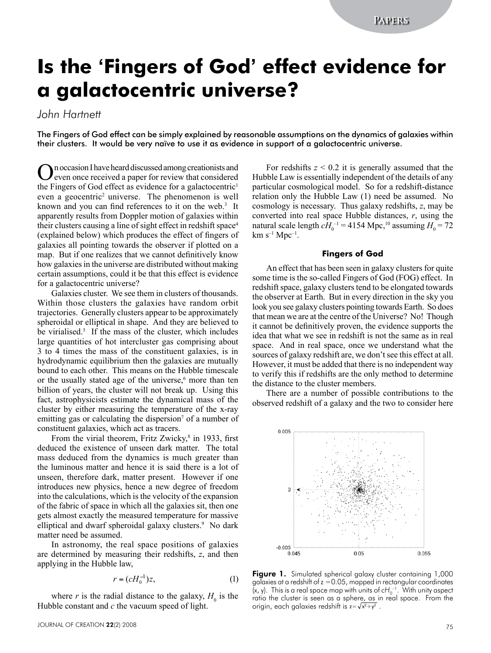# **Is the 'Fingers of God' effect evidence for a galactocentric universe?**

## *John Hartnett*

The Fingers of God effect can be simply explained by reasonable assumptions on the dynamics of galaxies within their clusters. It would be very naïve to use it as evidence in support of a galactocentric universe.

On occasion I have heard discussed among creationists and<br>even once received a paper for review that considered the Fingers of God effect as evidence for a galactocentric<sup>1</sup> even a geocentric<sup>2</sup> universe. The phenomenon is well known and you can find references to it on the web.<sup>3</sup> It apparently results from Doppler motion of galaxies within their clusters causing a line of sight effect in redshift space<sup>4</sup> (explained below) which produces the effect of fingers of galaxies all pointing towards the observer if plotted on a map. But if one realizes that we cannot definitively know how galaxies in the universe are distributed without making certain assumptions, could it be that this effect is evidence for a galactocentric universe?

Galaxies cluster. We see them in clusters of thousands. Within those clusters the galaxies have random orbit trajectories. Generally clusters appear to be approximately spheroidal or elliptical in shape. And they are believed to be virialised.<sup>5</sup> If the mass of the cluster, which includes large quantities of hot intercluster gas comprising about 3 to 4 times the mass of the constituent galaxies, is in hydrodynamic equilibrium then the galaxies are mutually bound to each other. This means on the Hubble timescale or the usually stated age of the universe,<sup>6</sup> more than ten billion of years, the cluster will not break up. Using this fact, astrophysicists estimate the dynamical mass of the cluster by either measuring the temperature of the x-ray emitting gas or calculating the dispersion<sup>7</sup> of a number of constituent galaxies, which act as tracers.

From the virial theorem, Fritz Zwicky, $\frac{8}{3}$  in 1933, first deduced the existence of unseen dark matter. The total mass deduced from the dynamics is much greater than the luminous matter and hence it is said there is a lot of unseen, therefore dark, matter present. However if one introduces new physics, hence a new degree of freedom into the calculations, which is the velocity of the expansion of the fabric of space in which all the galaxies sit, then one gets almost exactly the measured temperature for massive elliptical and dwarf spheroidal galaxy clusters.<sup>9</sup> No dark matter need be assumed.

In astronomy, the real space positions of galaxies are determined by measuring their redshifts, *z*, and then applying in the Hubble law,

$$
r = (cH_0^{-1})z,\tag{1}
$$

where  $r$  is the radial distance to the galaxy,  $H_0$  is the Hubble constant and *c* the vacuum speed of light.

For redshifts  $z \leq 0.2$  it is generally assumed that the Hubble Law is essentially independent of the details of any particular cosmological model. So for a redshift-distance relation only the Hubble Law (1) need be assumed. No cosmology is necessary. Thus galaxy redshifts, *z*, may be converted into real space Hubble distances, *r*, using the natural scale length  $cH_0^{-1} = 4154$  Mpc,<sup>10</sup> assuming  $H_0 = 72$  $km s^{-1} Mpc^{-1}$ .

#### **Fingers of God**

An effect that has been seen in galaxy clusters for quite some time is the so-called Fingers of God (FOG) effect. In redshift space, galaxy clusters tend to be elongated towards the observer at Earth. But in every direction in the sky you look you see galaxy clusters pointing towards Earth. So does that mean we are at the centre of the Universe? No! Though it cannot be definitively proven, the evidence supports the idea that what we see in redshift is not the same as in real space. And in real space, once we understand what the sources of galaxy redshift are, we don't see this effect at all. However, it must be added that there is no independent way to verify this if redshifts are the only method to determine the distance to the cluster members.

There are a number of possible contributions to the observed redshift of a galaxy and the two to consider here



Figure 1. Simulated spherical galaxy cluster containing 1,000 galaxies at a redshift of  $z = 0.05$ , mapped in rectangular coordinates (x, y). This is a real space map with units of cH<sub>0</sub><sup>-1</sup>. With unity aspect ratio the cluster is seen as a sphere, as in real space. From the origin, each galaxies redshift is  $z = \sqrt{x^2 + y^2}$ .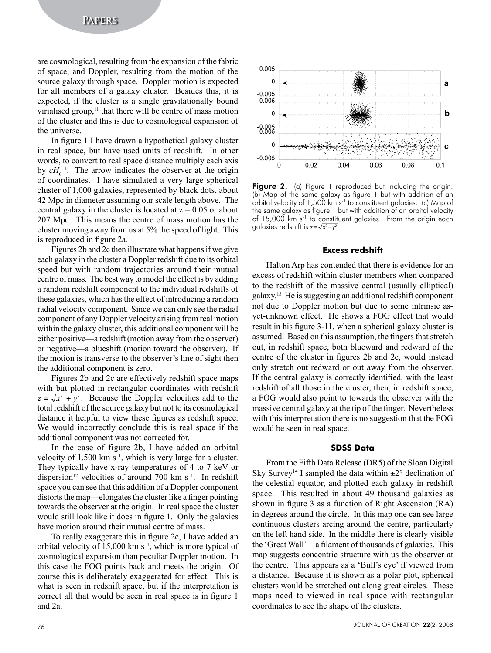are cosmological, resulting from the expansion of the fabric of space, and Doppler, resulting from the motion of the source galaxy through space. Doppler motion is expected for all members of a galaxy cluster. Besides this, it is expected, if the cluster is a single gravitationally bound virialised group, $<sup>11</sup>$  that there will be centre of mass motion</sup> of the cluster and this is due to cosmological expansion of the universe.

In figure 1 I have drawn a hypothetical galaxy cluster in real space, but have used units of redshift. In other words, to convert to real space distance multiply each axis by  $cH_0^{-1}$ . The arrow indicates the observer at the origin of coordinates. I have simulated a very large spherical cluster of 1,000 galaxies, represented by black dots, about 42 Mpc in diameter assuming our scale length above. The central galaxy in the cluster is located at  $z = 0.05$  or about 207 Mpc. This means the centre of mass motion has the cluster moving away from us at 5% the speed of light. This is reproduced in figure 2a.

Figures 2b and 2c then illustrate what happens if we give each galaxy in the cluster a Doppler redshift due to its orbital speed but with random trajectories around their mutual centre of mass. The best way to model the effect is by adding a random redshift component to the individual redshifts of these galaxies, which has the effect of introducing a random radial velocity component. Since we can only see the radial component of any Doppler velocity arising from real motion within the galaxy cluster, this additional component will be either positive—a redshift (motion away from the observer) or negative—a blueshift (motion toward the observer). If the motion is transverse to the observer's line of sight then the additional component is zero.

Figures 2b and 2c are effectively redshift space maps with but plotted in rectangular coordinates with redshift  $z = \sqrt{x^2 + y^2}$ . Because the Doppler velocities add to the total redshift of the source galaxy but not to its cosmological distance it helpful to view these figures as redshift space. We would incorrectly conclude this is real space if the additional component was not corrected for.

In the case of figure 2b, I have added an orbital velocity of  $1,500 \text{ km s}^{-1}$ , which is very large for a cluster. They typically have x-ray temperatures of 4 to 7 keV or dispersion<sup>12</sup> velocities of around 700 km  $s^{-1}$ . In redshift space you can see that this addition of a Doppler component distorts the map—elongates the cluster like a finger pointing towards the observer at the origin. In real space the cluster would still look like it does in figure 1. Only the galaxies have motion around their mutual centre of mass.

To really exaggerate this in figure 2c, I have added an orbital velocity of  $15,000 \text{ km s}^{-1}$ , which is more typical of cosmological expansion than peculiar Doppler motion. In this case the FOG points back and meets the origin. Of course this is deliberately exaggerated for effect. This is what is seen in redshift space, but if the interpretation is correct all that would be seen in real space is in figure 1 and 2a.



**Figure 2.** (a) Figure 1 reproduced but including the origin. (b) Map of the same galaxy as figure 1 but with addition of an orbital velocity of 1,500 km s-1 to constituent galaxies. (c) Map of the same galaxy as figure 1 but with addition of an orbital velocity of 15,000 km s<sup>-1</sup> to constituent galaxies. From the origin each galaxies redshift is  $z = \sqrt{x^2 + y^2}$ .

#### **Excess redshift**

Halton Arp has contended that there is evidence for an excess of redshift within cluster members when compared to the redshift of the massive central (usually elliptical) galaxy.13 He is suggesting an additional redshift component not due to Doppler motion but due to some intrinsic asyet-unknown effect. He shows a FOG effect that would result in his figure 3-11, when a spherical galaxy cluster is assumed. Based on this assumption, the fingers that stretch out, in redshift space, both blueward and redward of the centre of the cluster in figures 2b and 2c, would instead only stretch out redward or out away from the observer. If the central galaxy is correctly identified, with the least redshift of all those in the cluster, then, in redshift space, a FOG would also point to towards the observer with the massive central galaxy at the tip of the finger. Nevertheless with this interpretation there is no suggestion that the FOG would be seen in real space.

#### **SDSS Data**

From the Fifth Data Release (DR5) of the Sloan Digital Sky Survey<sup>14</sup> I sampled the data within  $\pm 2^{\circ}$  declination of the celestial equator, and plotted each galaxy in redshift space. This resulted in about 49 thousand galaxies as shown in figure 3 as a function of Right Ascension (RA) in degrees around the circle. In this map one can see large continuous clusters arcing around the centre, particularly on the left hand side. In the middle there is clearly visible the 'Great Wall'—a filament of thousands of galaxies. This map suggests concentric structure with us the observer at the centre. This appears as a 'Bull's eye' if viewed from a distance. Because it is shown as a polar plot, spherical clusters would be stretched out along great circles. These maps need to viewed in real space with rectangular coordinates to see the shape of the clusters.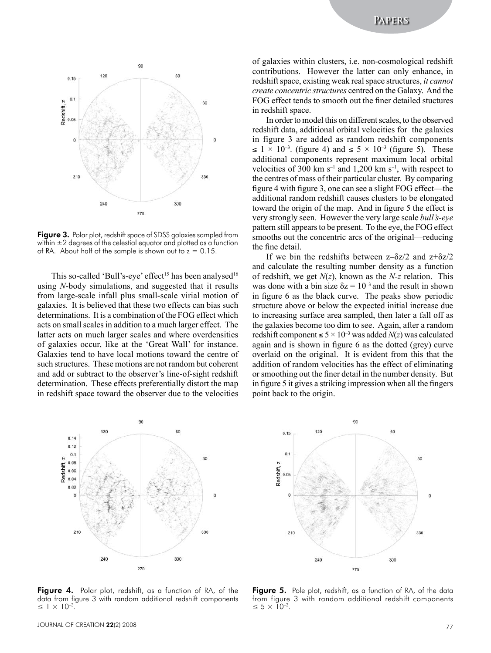

Figure 3. Polar plot, redshift space of SDSS galaxies sampled from within  $\pm 2$  degrees of the celestial equator and plotted as a function of RA. About half of the sample is shown out to  $z = 0.15$ .

This so-called 'Bull's-eye' effect<sup>15</sup> has been analysed<sup>16</sup> using *N*-body simulations, and suggested that it results from large-scale infall plus small-scale virial motion of galaxies. It is believed that these two effects can bias such determinations. It is a combination of the FOG effect which acts on small scales in addition to a much larger effect. The latter acts on much larger scales and where overdensities of galaxies occur, like at the 'Great Wall' for instance. Galaxies tend to have local motions toward the centre of such structures. These motions are not random but coherent and add or subtract to the observer's line-of-sight redshift determination. These effects preferentially distort the map in redshift space toward the observer due to the velocities of galaxies within clusters, i.e. non-cosmological redshift contributions. However the latter can only enhance, in redshift space, existing weak real space structures, *it cannot create concentric structures* centred on the Galaxy. And the FOG effect tends to smooth out the finer detailed stuctures in redshift space.

In order to model this on different scales, to the observed redshift data, additional orbital velocities for the galaxies in figure 3 are added as random redshift components  $\leq 1 \times 10^{-3}$ . (figure 4) and  $\leq 5 \times 10^{-3}$  (figure 5). These additional components represent maximum local orbital velocities of 300 km  $s^{-1}$  and 1,200 km  $s^{-1}$ , with respect to the centres of mass of their particular cluster. By comparing figure 4 with figure 3, one can see a slight FOG effect—the additional random redshift causes clusters to be elongated toward the origin of the map. And in figure 5 the effect is very strongly seen. However the very large scale *bull's-eye* pattern still appears to be present. To the eye, the FOG effect smooths out the concentric arcs of the original—reducing the fine detail.

If we bin the redshifts between  $z-\delta z/2$  and  $z+\delta z/2$ and calculate the resulting number density as a function of redshift, we get *N*(*z*), known as the *N-z* relation. This was done with a bin size  $\delta z = 10^{-3}$  and the result in shown in figure 6 as the black curve. The peaks show periodic structure above or below the expected initial increase due to increasing surface area sampled, then later a fall off as the galaxies become too dim to see. Again, after a random redshift component ≤  $5 \times 10^{-3}$  was added *N*(*z*) was calculated again and is shown in figure 6 as the dotted (grey) curve overlaid on the original. It is evident from this that the addition of random velocities has the effect of eliminating or smoothing out the finer detail in the number density. But in figure 5 it gives a striking impression when all the fingers point back to the origin.





Figure 4. Polar plot, redshift, as a function of RA, of the data from figure 3 with random additional redshift components  $≤ 1 × 10<sup>-3</sup>$ .

Figure 5. Pole plot, redshift, as a function of RA, of the data from figure 3 with random additional redshift components  $≤ 5 × 10<sup>-3</sup>$ .